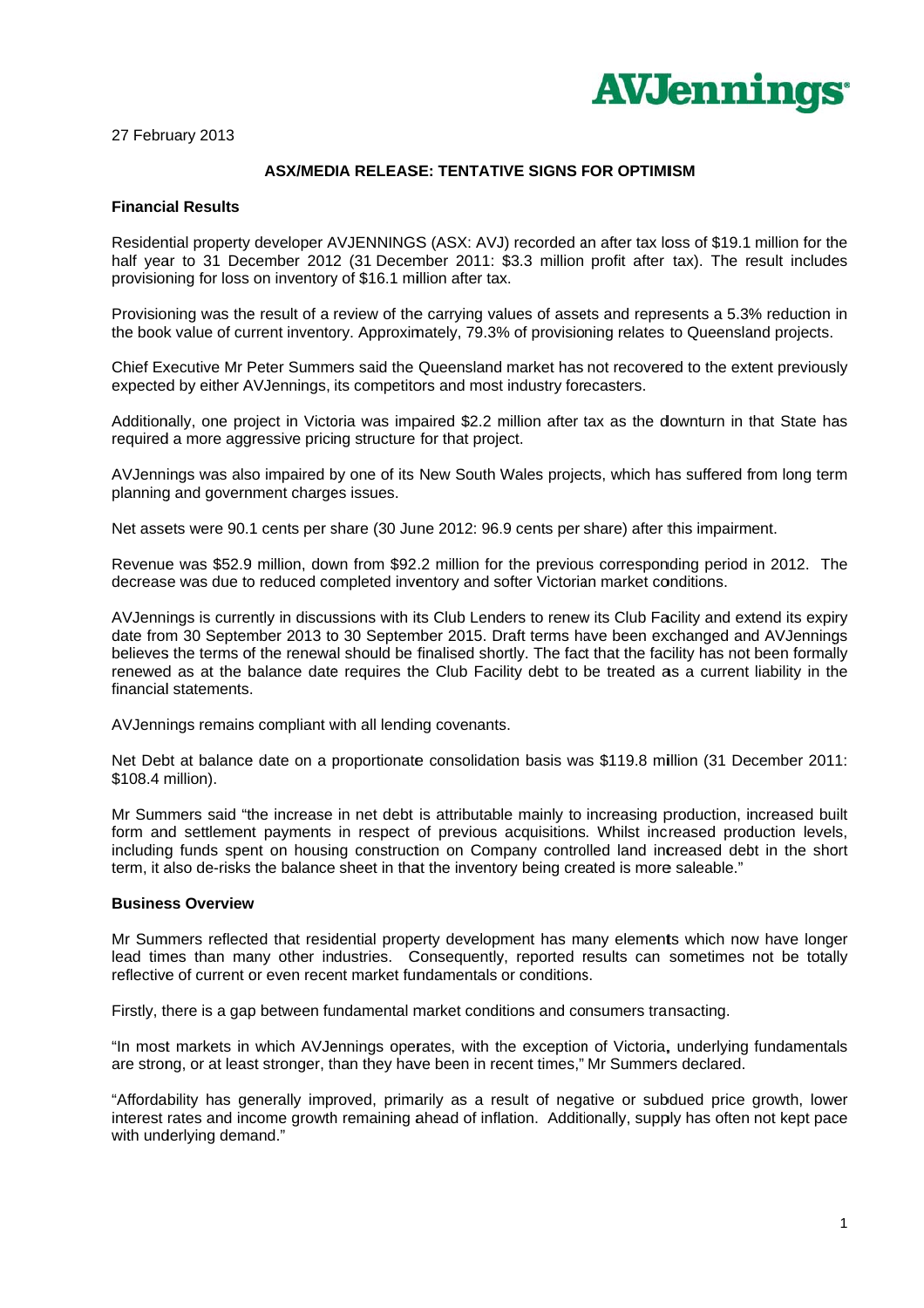

27 February 2013

## **ASX/MEDIA RELEASE: TENTATIVE SIGNS FOR OPTIMISM**

## **Financial Results**

Residential property developer AVJENNINGS (ASX: AVJ) recorded an after tax loss of \$19.1 million for the half year to 31 December 2012 (31 December 2011: \$3.3 million profit after tax). The result includes provisioning for loss on inventory of \$16.1 million after tax.

Provisioning was the result of a review of the carrying values of assets and represents a 5.3% reduction in the book value of current inventory. Approximately, 79.3% of provisioning relates to Queensland projects.

Chief Executive Mr Peter Summers said the Queensland market has not recovered to the extent previously expected by either AVJennings, its competitors and most industry forecasters.

Additionally, one project in Victoria was impaired \$2.2 million after tax as the downturn in that State has required a more aggressive pricing structure for that project.

AVJennings was also impaired by one of its New South Wales projects, which has suffered from long term planning and government charges issues.

Net assets were 90.1 cents per share (30 June 2012: 96.9 cents per share) after this impairment.

Revenue was \$52.9 million, down from \$92.2 million for the previous corresponding period in 2012. The decrease was due to reduced completed inventory and softer Victorian market conditions.

AV Jennings is currently in discussions with its Club Lenders to renew its Club Facility and extend its expiry date from 30 September 2013 to 30 September 2015. Draft terms have been exchanged and AVJennings believes the terms of the renewal should be finalised shortly. The fact that the facility has not been formally renewed as at the balance date requires the Club Facility debt to be treated as a current liability in the financial statements.

AVJennings remains compliant with all lending covenants.

Net Debt at balance date on a proportionate consolidation basis was \$119.8 million (31 December 2011: \$108.4 million).

Mr Summers said "the increase in net debt is attributable mainly to increasing production, increased built form and settlement payments in respect of previous acquisitions. Whilst increased production levels, including funds spent on housing construction on Company controlled land increased debt in the short term, it also de-risks the balance sheet in that the inventory being created is more saleable."

## **Business Overview**

Mr Summers reflected that residential property development has many elements which now have longer lead times than many other industries. Consequently, reported results can sometimes not be totally reflective of current or even recent market fundamentals or conditions.

Firstly, there is a gap between fundamental market conditions and consumers transacting.

"In most markets in which AVJennings operates, with the exception of Victoria, underlying fundamentals are strong, or at least stronger, than they have been in recent times," Mr Summers declared.

"Affordability has generally improved, primarily as a result of negative or subdued price growth, lower interest rates and income growth remaining ahead of inflation. Additionally, supply has often not kept pace with underlying demand."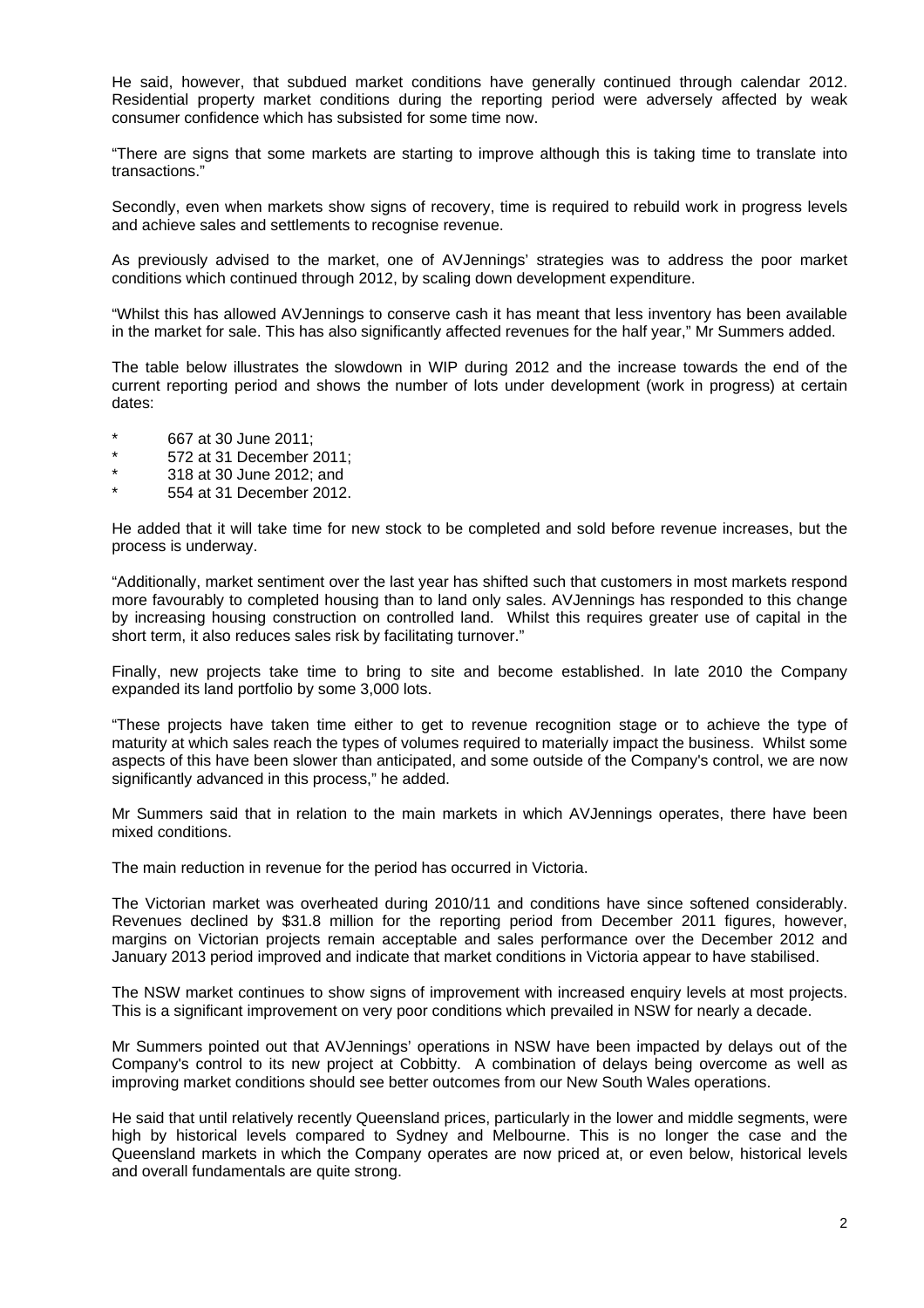He said, however, that subdued market conditions have generally continued through calendar 2012. Residential property market conditions during the reporting period were adversely affected by weak consumer confidence which has subsisted for some time now.

"There are signs that some markets are starting to improve although this is taking time to translate into transactions."

Secondly, even when markets show signs of recovery, time is required to rebuild work in progress levels and achieve sales and settlements to recognise revenue.

As previously advised to the market, one of AVJennings' strategies was to address the poor market conditions which continued through 2012, by scaling down development expenditure.

"Whilst this has allowed AVJennings to conserve cash it has meant that less inventory has been available in the market for sale. This has also significantly affected revenues for the half year," Mr Summers added.

The table below illustrates the slowdown in WIP during 2012 and the increase towards the end of the current reporting period and shows the number of lots under development (work in progress) at certain dates:

- \* 667 at 30 June 2011;<br> $*$  572 at 31 December 1
- $*$  572 at 31 December 2011;
- 318 at 30 June 2012; and
- 554 at 31 December 2012.

He added that it will take time for new stock to be completed and sold before revenue increases, but the process is underway.

"Additionally, market sentiment over the last year has shifted such that customers in most markets respond more favourably to completed housing than to land only sales. AVJennings has responded to this change by increasing housing construction on controlled land. Whilst this requires greater use of capital in the short term, it also reduces sales risk by facilitating turnover."

Finally, new projects take time to bring to site and become established. In late 2010 the Company expanded its land portfolio by some 3,000 lots.

"These projects have taken time either to get to revenue recognition stage or to achieve the type of maturity at which sales reach the types of volumes required to materially impact the business. Whilst some aspects of this have been slower than anticipated, and some outside of the Company's control, we are now significantly advanced in this process," he added.

Mr Summers said that in relation to the main markets in which AVJennings operates, there have been mixed conditions.

The main reduction in revenue for the period has occurred in Victoria.

The Victorian market was overheated during 2010/11 and conditions have since softened considerably. Revenues declined by \$31.8 million for the reporting period from December 2011 figures, however, margins on Victorian projects remain acceptable and sales performance over the December 2012 and January 2013 period improved and indicate that market conditions in Victoria appear to have stabilised.

The NSW market continues to show signs of improvement with increased enquiry levels at most projects. This is a significant improvement on very poor conditions which prevailed in NSW for nearly a decade.

Mr Summers pointed out that AVJennings' operations in NSW have been impacted by delays out of the Company's control to its new project at Cobbitty. A combination of delays being overcome as well as improving market conditions should see better outcomes from our New South Wales operations.

He said that until relatively recently Queensland prices, particularly in the lower and middle segments, were high by historical levels compared to Sydney and Melbourne. This is no longer the case and the Queensland markets in which the Company operates are now priced at, or even below, historical levels and overall fundamentals are quite strong.